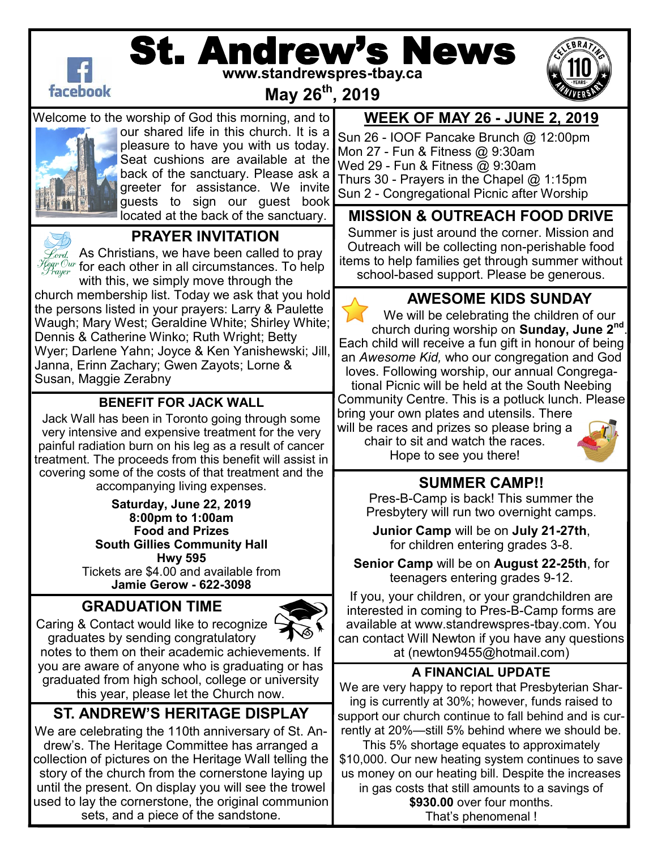